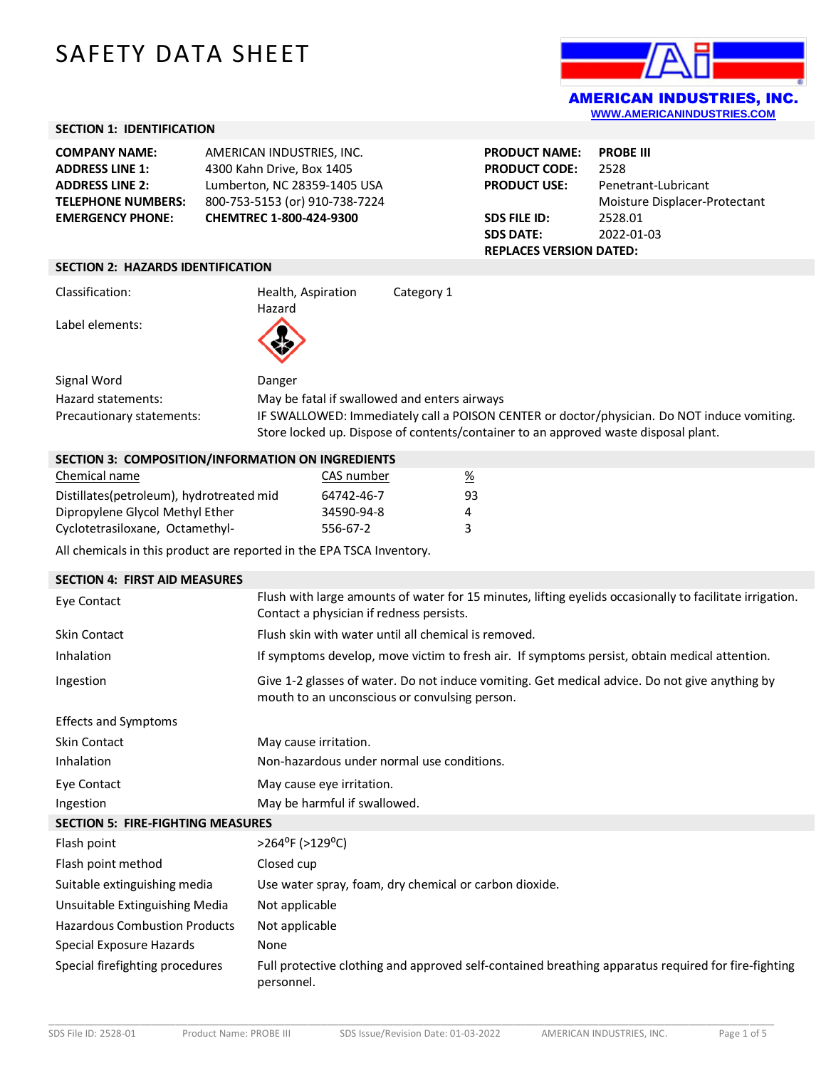# SAFETY DATA SHEET



## **SECTION 1: IDENTIFICATION**

| 4300 Kahn Drive, Box 1405      | <b>COMPANY NAME:</b>      | AMERICAN INDUSTRIES, INC.    |
|--------------------------------|---------------------------|------------------------------|
|                                | <b>ADDRESS LINE 1:</b>    |                              |
|                                | <b>ADDRESS LINE 2:</b>    | Lumberton, NC 28359-1405 USA |
| 800-753-5153 (or) 910-738-7224 | <b>TELEPHONE NUMBERS:</b> |                              |
| CHEMTREC 1-800-424-9300        | <b>EMERGENCY PHONE:</b>   |                              |

| <b>PRODUCT NAME:</b>           | <b>PROBE III</b>              |  |  |
|--------------------------------|-------------------------------|--|--|
| <b>PRODUCT CODE:</b>           | 2528                          |  |  |
| PRODUCT USE:                   | Penetrant-Lubricant           |  |  |
|                                | Moisture Displacer-Protectant |  |  |
| SDS FILE ID:                   | 2528.01                       |  |  |
| <b>SDS DATE:</b>               | 2022-01-03                    |  |  |
| <b>REPLACES VERSION DATED:</b> |                               |  |  |

#### **SECTION 2: HAZARDS IDENTIFICATION**

Classification: Health, Aspiration

Hazard

Category 1

Label elements:

Signal Word Danger

Hazard statements: May be fatal if swallowed and enters airways Precautionary statements: IF SWALLOWED: Immediately call a POISON CENTER or doctor/physician. Do NOT induce vomiting. Store locked up. Dispose of contents/container to an approved waste disposal plant.

## **SECTION 3: COMPOSITION/INFORMATION ON INGREDIENTS**

| Chemical name                            | CAS number | $\frac{\%}{\frac{1}{2}}$ |
|------------------------------------------|------------|--------------------------|
| Distillates(petroleum), hydrotreated mid | 64742-46-7 | 93.                      |
| Dipropylene Glycol Methyl Ether          | 34590-94-8 | 4                        |
| Cyclotetrasiloxane, Octamethyl-          | 556-67-2   |                          |

All chemicals in this product are reported in the EPA TSCA Inventory.

| <b>SECTION 4: FIRST AID MEASURES</b>     |                                                                                                                                                      |  |  |
|------------------------------------------|------------------------------------------------------------------------------------------------------------------------------------------------------|--|--|
| Eye Contact                              | Flush with large amounts of water for 15 minutes, lifting eyelids occasionally to facilitate irrigation.<br>Contact a physician if redness persists. |  |  |
| <b>Skin Contact</b>                      | Flush skin with water until all chemical is removed.                                                                                                 |  |  |
| Inhalation                               | If symptoms develop, move victim to fresh air. If symptoms persist, obtain medical attention.                                                        |  |  |
| Ingestion                                | Give 1-2 glasses of water. Do not induce vomiting. Get medical advice. Do not give anything by<br>mouth to an unconscious or convulsing person.      |  |  |
| <b>Effects and Symptoms</b>              |                                                                                                                                                      |  |  |
| <b>Skin Contact</b>                      | May cause irritation.                                                                                                                                |  |  |
| Inhalation                               | Non-hazardous under normal use conditions.                                                                                                           |  |  |
| Eye Contact                              | May cause eye irritation.                                                                                                                            |  |  |
| Ingestion                                | May be harmful if swallowed.                                                                                                                         |  |  |
| <b>SECTION 5: FIRE-FIGHTING MEASURES</b> |                                                                                                                                                      |  |  |
| Flash point                              | >264°F (>129°C)                                                                                                                                      |  |  |
| Flash point method                       | Closed cup                                                                                                                                           |  |  |
| Suitable extinguishing media             | Use water spray, foam, dry chemical or carbon dioxide.                                                                                               |  |  |
| Unsuitable Extinguishing Media           | Not applicable                                                                                                                                       |  |  |
| <b>Hazardous Combustion Products</b>     | Not applicable                                                                                                                                       |  |  |
| Special Exposure Hazards                 | None                                                                                                                                                 |  |  |
| Special firefighting procedures          | Full protective clothing and approved self-contained breathing apparatus required for fire-fighting<br>personnel.                                    |  |  |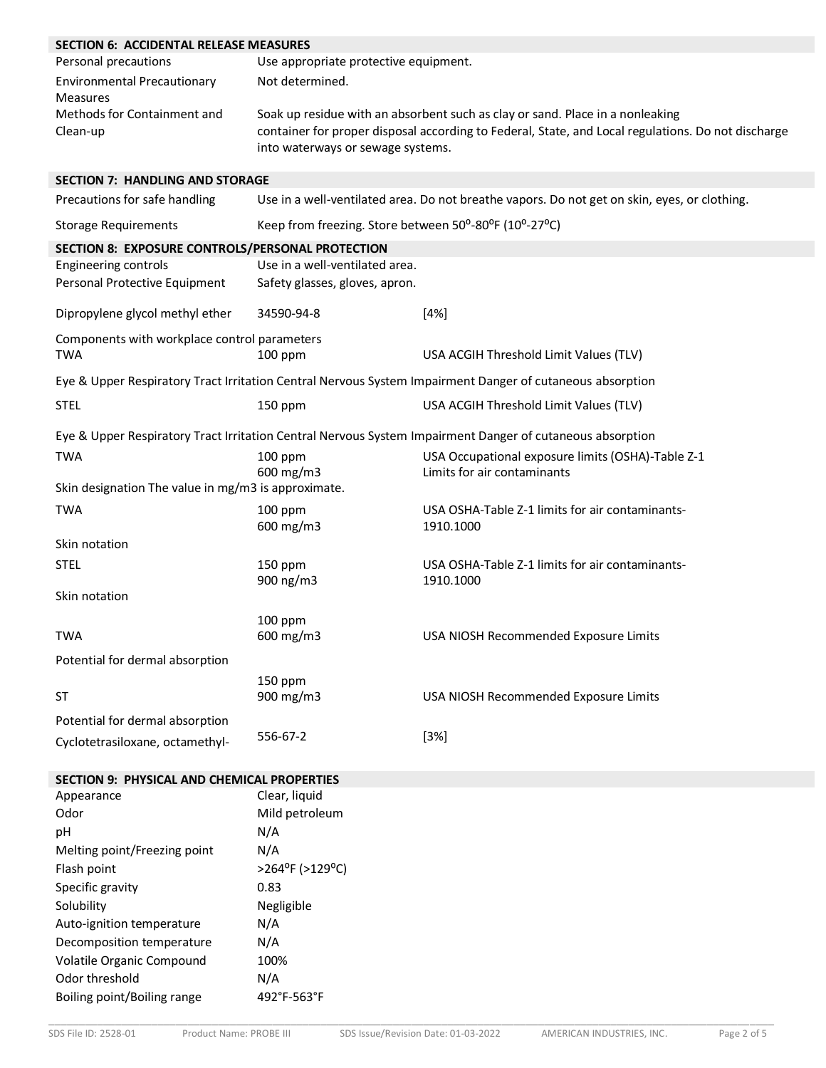| <b>SECTION 6: ACCIDENTAL RELEASE MEASURES</b>              |                                                                                                                                                                                                                          |                                                                                                           |  |  |  |
|------------------------------------------------------------|--------------------------------------------------------------------------------------------------------------------------------------------------------------------------------------------------------------------------|-----------------------------------------------------------------------------------------------------------|--|--|--|
| Personal precautions                                       | Use appropriate protective equipment.                                                                                                                                                                                    |                                                                                                           |  |  |  |
| <b>Environmental Precautionary</b><br>Measures             | Not determined.                                                                                                                                                                                                          |                                                                                                           |  |  |  |
| Methods for Containment and<br>Clean-up                    | Soak up residue with an absorbent such as clay or sand. Place in a nonleaking<br>container for proper disposal according to Federal, State, and Local regulations. Do not discharge<br>into waterways or sewage systems. |                                                                                                           |  |  |  |
| <b>SECTION 7: HANDLING AND STORAGE</b>                     |                                                                                                                                                                                                                          |                                                                                                           |  |  |  |
| Precautions for safe handling                              | Use in a well-ventilated area. Do not breathe vapors. Do not get on skin, eyes, or clothing.                                                                                                                             |                                                                                                           |  |  |  |
| <b>Storage Requirements</b>                                | Keep from freezing. Store between 50°-80°F (10°-27°C)                                                                                                                                                                    |                                                                                                           |  |  |  |
| SECTION 8: EXPOSURE CONTROLS/PERSONAL PROTECTION           |                                                                                                                                                                                                                          |                                                                                                           |  |  |  |
| <b>Engineering controls</b>                                | Use in a well-ventilated area.                                                                                                                                                                                           |                                                                                                           |  |  |  |
| Personal Protective Equipment                              | Safety glasses, gloves, apron.                                                                                                                                                                                           |                                                                                                           |  |  |  |
| Dipropylene glycol methyl ether                            | 34590-94-8                                                                                                                                                                                                               | [4%]                                                                                                      |  |  |  |
| Components with workplace control parameters<br><b>TWA</b> | $100$ ppm                                                                                                                                                                                                                | USA ACGIH Threshold Limit Values (TLV)                                                                    |  |  |  |
|                                                            |                                                                                                                                                                                                                          | Eye & Upper Respiratory Tract Irritation Central Nervous System Impairment Danger of cutaneous absorption |  |  |  |
| <b>STEL</b>                                                | 150 ppm                                                                                                                                                                                                                  | USA ACGIH Threshold Limit Values (TLV)                                                                    |  |  |  |
|                                                            |                                                                                                                                                                                                                          | Eye & Upper Respiratory Tract Irritation Central Nervous System Impairment Danger of cutaneous absorption |  |  |  |
| <b>TWA</b>                                                 | 100 ppm<br>600 mg/m3                                                                                                                                                                                                     | USA Occupational exposure limits (OSHA)-Table Z-1<br>Limits for air contaminants                          |  |  |  |
| Skin designation The value in mg/m3 is approximate.        |                                                                                                                                                                                                                          |                                                                                                           |  |  |  |
| <b>TWA</b>                                                 | $100$ ppm<br>600 mg/m3                                                                                                                                                                                                   | USA OSHA-Table Z-1 limits for air contaminants-<br>1910.1000                                              |  |  |  |
| Skin notation                                              |                                                                                                                                                                                                                          |                                                                                                           |  |  |  |
| <b>STEL</b>                                                | $150$ ppm<br>900 ng/m3                                                                                                                                                                                                   | USA OSHA-Table Z-1 limits for air contaminants-<br>1910.1000                                              |  |  |  |
| Skin notation                                              |                                                                                                                                                                                                                          |                                                                                                           |  |  |  |
|                                                            | 100 ppm                                                                                                                                                                                                                  |                                                                                                           |  |  |  |
| <b>TWA</b>                                                 | 600 mg/m3                                                                                                                                                                                                                | USA NIOSH Recommended Exposure Limits                                                                     |  |  |  |
| Potential for dermal absorption                            |                                                                                                                                                                                                                          |                                                                                                           |  |  |  |
|                                                            | $150$ ppm                                                                                                                                                                                                                |                                                                                                           |  |  |  |
| <b>ST</b>                                                  | 900 mg/m3                                                                                                                                                                                                                | USA NIOSH Recommended Exposure Limits                                                                     |  |  |  |
| Potential for dermal absorption                            |                                                                                                                                                                                                                          |                                                                                                           |  |  |  |
| Cyclotetrasiloxane, octamethyl-                            | 556-67-2                                                                                                                                                                                                                 | $[3%]$                                                                                                    |  |  |  |
| SECTION 9: PHYSICAL AND CHEMICAL PROPERTIES                |                                                                                                                                                                                                                          |                                                                                                           |  |  |  |
| Appearance                                                 | Clear, liquid                                                                                                                                                                                                            |                                                                                                           |  |  |  |
| Odor                                                       | Mild petroleum                                                                                                                                                                                                           |                                                                                                           |  |  |  |
| pH                                                         | N/A                                                                                                                                                                                                                      |                                                                                                           |  |  |  |
| Melting point/Freezing point                               | N/A                                                                                                                                                                                                                      |                                                                                                           |  |  |  |
| Flash point                                                | >264°F (>129°C)                                                                                                                                                                                                          |                                                                                                           |  |  |  |
| Specific gravity                                           | 0.83                                                                                                                                                                                                                     |                                                                                                           |  |  |  |
| Solubility                                                 | Negligible                                                                                                                                                                                                               |                                                                                                           |  |  |  |
| Auto-ignition temperature                                  | N/A                                                                                                                                                                                                                      |                                                                                                           |  |  |  |
| Decomposition temperature                                  | N/A                                                                                                                                                                                                                      |                                                                                                           |  |  |  |
| Volatile Organic Compound                                  | 100%                                                                                                                                                                                                                     |                                                                                                           |  |  |  |
| Odor threshold                                             | N/A                                                                                                                                                                                                                      |                                                                                                           |  |  |  |
| Boiling point/Boiling range                                | 492°F-563°F                                                                                                                                                                                                              |                                                                                                           |  |  |  |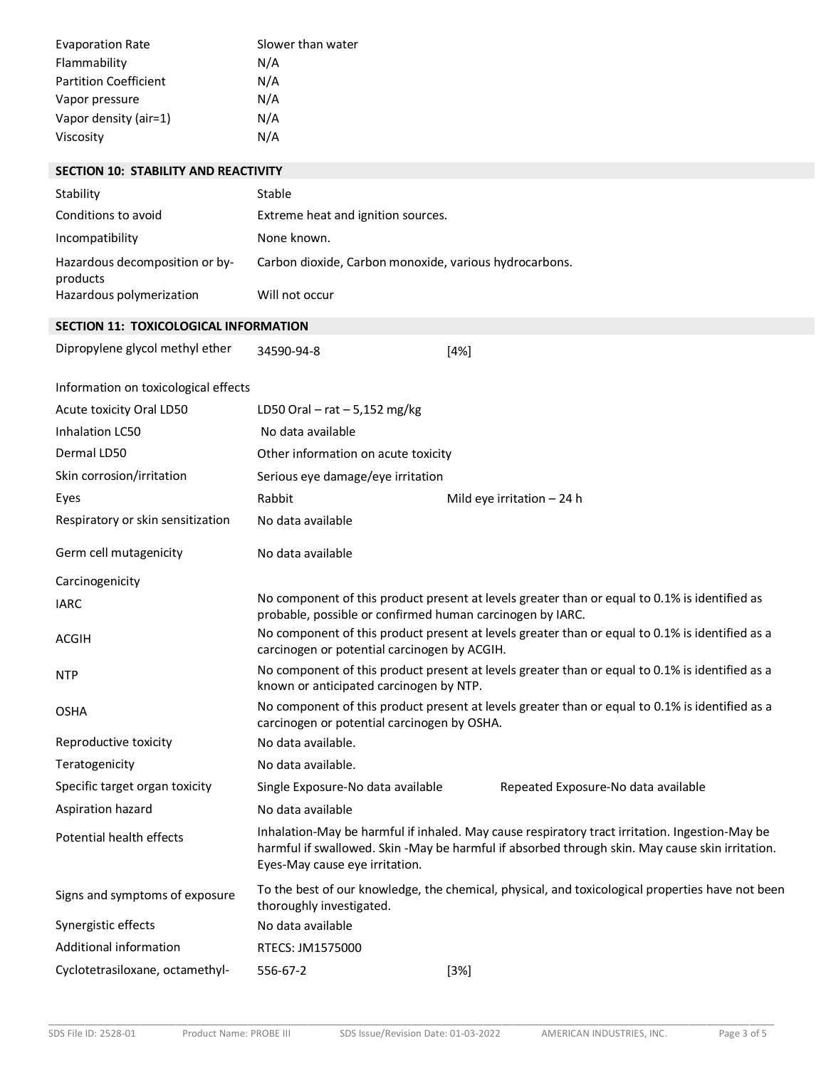| <b>Evaporation Rate</b>      | Slower than water |
|------------------------------|-------------------|
| Flammability                 | N/A               |
| <b>Partition Coefficient</b> | N/A               |
| Vapor pressure               | N/A               |
| Vapor density (air=1)        | N/A               |
| Viscosity                    | N/A               |
|                              |                   |

| <b>SECTION 10: STABILITY AND REACTIVITY</b> |                                                                                                                                                |                                                                                                                                                                                                   |  |  |
|---------------------------------------------|------------------------------------------------------------------------------------------------------------------------------------------------|---------------------------------------------------------------------------------------------------------------------------------------------------------------------------------------------------|--|--|
| Stability                                   | Stable                                                                                                                                         |                                                                                                                                                                                                   |  |  |
| Conditions to avoid                         | Extreme heat and ignition sources.                                                                                                             |                                                                                                                                                                                                   |  |  |
| Incompatibility                             | None known.                                                                                                                                    |                                                                                                                                                                                                   |  |  |
| Hazardous decomposition or by-<br>products  | Carbon dioxide, Carbon monoxide, various hydrocarbons.                                                                                         |                                                                                                                                                                                                   |  |  |
| Hazardous polymerization                    | Will not occur                                                                                                                                 |                                                                                                                                                                                                   |  |  |
| SECTION 11: TOXICOLOGICAL INFORMATION       |                                                                                                                                                |                                                                                                                                                                                                   |  |  |
| Dipropylene glycol methyl ether             | 34590-94-8                                                                                                                                     | $[4\%]$                                                                                                                                                                                           |  |  |
| Information on toxicological effects        |                                                                                                                                                |                                                                                                                                                                                                   |  |  |
| Acute toxicity Oral LD50                    | LD50 Oral $-$ rat $-$ 5,152 mg/kg                                                                                                              |                                                                                                                                                                                                   |  |  |
| Inhalation LC50                             | No data available                                                                                                                              |                                                                                                                                                                                                   |  |  |
| Dermal LD50                                 |                                                                                                                                                | Other information on acute toxicity                                                                                                                                                               |  |  |
| Skin corrosion/irritation                   | Serious eye damage/eye irritation                                                                                                              |                                                                                                                                                                                                   |  |  |
| Eyes                                        | Rabbit                                                                                                                                         | Mild eye irritation $-24$ h                                                                                                                                                                       |  |  |
| Respiratory or skin sensitization           | No data available                                                                                                                              |                                                                                                                                                                                                   |  |  |
| Germ cell mutagenicity                      | No data available                                                                                                                              |                                                                                                                                                                                                   |  |  |
| Carcinogenicity                             |                                                                                                                                                |                                                                                                                                                                                                   |  |  |
| <b>IARC</b>                                 |                                                                                                                                                | No component of this product present at levels greater than or equal to 0.1% is identified as<br>probable, possible or confirmed human carcinogen by IARC.                                        |  |  |
| <b>ACGIH</b>                                |                                                                                                                                                | No component of this product present at levels greater than or equal to 0.1% is identified as a<br>carcinogen or potential carcinogen by ACGIH.                                                   |  |  |
| <b>NTP</b>                                  | No component of this product present at levels greater than or equal to 0.1% is identified as a<br>known or anticipated carcinogen by NTP.     |                                                                                                                                                                                                   |  |  |
| <b>OSHA</b>                                 | No component of this product present at levels greater than or equal to 0.1% is identified as a<br>carcinogen or potential carcinogen by OSHA. |                                                                                                                                                                                                   |  |  |
| Reproductive toxicity                       | No data available.                                                                                                                             |                                                                                                                                                                                                   |  |  |
| Teratogenicity                              | No data available.                                                                                                                             |                                                                                                                                                                                                   |  |  |
| Specific target organ toxicity              | Single Exposure-No data available                                                                                                              | Repeated Exposure-No data available                                                                                                                                                               |  |  |
| Aspiration hazard                           | No data available                                                                                                                              |                                                                                                                                                                                                   |  |  |
| Potential health effects                    | Eyes-May cause eye irritation.                                                                                                                 | Inhalation-May be harmful if inhaled. May cause respiratory tract irritation. Ingestion-May be<br>harmful if swallowed. Skin -May be harmful if absorbed through skin. May cause skin irritation. |  |  |
| Signs and symptoms of exposure              | thoroughly investigated.                                                                                                                       | To the best of our knowledge, the chemical, physical, and toxicological properties have not been                                                                                                  |  |  |
| Synergistic effects                         | No data available                                                                                                                              |                                                                                                                                                                                                   |  |  |
| Additional information                      | RTECS: JM1575000                                                                                                                               |                                                                                                                                                                                                   |  |  |
| Cyclotetrasiloxane, octamethyl-             | 556-67-2                                                                                                                                       | $[3\%]$                                                                                                                                                                                           |  |  |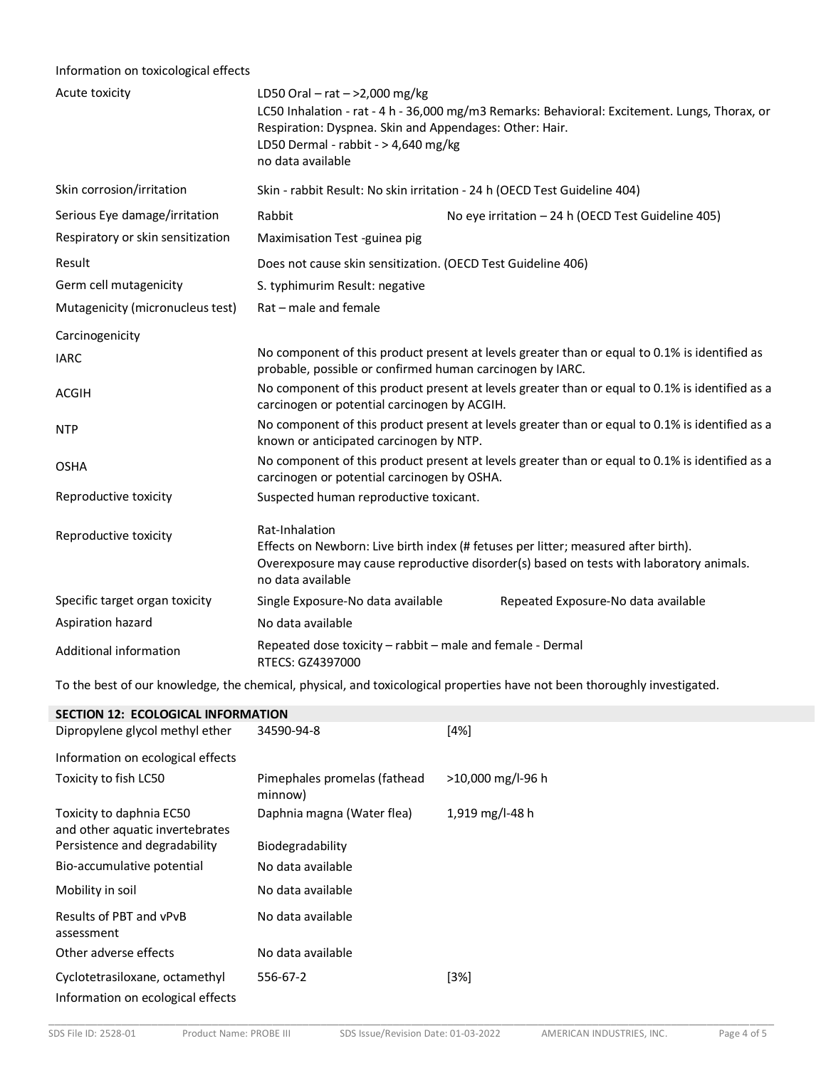# Information on toxicological effects

| Acute toxicity                    | LD50 Oral – rat – >2,000 mg/kg<br>LC50 Inhalation - rat - 4 h - 36,000 mg/m3 Remarks: Behavioral: Excitement. Lungs, Thorax, or<br>Respiration: Dyspnea. Skin and Appendages: Other: Hair.<br>LD50 Dermal - rabbit - > 4,640 mg/kg<br>no data available |  |  |  |
|-----------------------------------|---------------------------------------------------------------------------------------------------------------------------------------------------------------------------------------------------------------------------------------------------------|--|--|--|
| Skin corrosion/irritation         | Skin - rabbit Result: No skin irritation - 24 h (OECD Test Guideline 404)                                                                                                                                                                               |  |  |  |
| Serious Eye damage/irritation     | Rabbit<br>No eye irritation - 24 h (OECD Test Guideline 405)                                                                                                                                                                                            |  |  |  |
| Respiratory or skin sensitization | Maximisation Test -guinea pig                                                                                                                                                                                                                           |  |  |  |
| Result                            | Does not cause skin sensitization. (OECD Test Guideline 406)                                                                                                                                                                                            |  |  |  |
| Germ cell mutagenicity            | S. typhimurim Result: negative                                                                                                                                                                                                                          |  |  |  |
| Mutagenicity (micronucleus test)  | Rat - male and female                                                                                                                                                                                                                                   |  |  |  |
| Carcinogenicity                   |                                                                                                                                                                                                                                                         |  |  |  |
| <b>IARC</b>                       | No component of this product present at levels greater than or equal to 0.1% is identified as<br>probable, possible or confirmed human carcinogen by IARC.                                                                                              |  |  |  |
| <b>ACGIH</b>                      | No component of this product present at levels greater than or equal to 0.1% is identified as a<br>carcinogen or potential carcinogen by ACGIH.                                                                                                         |  |  |  |
| <b>NTP</b>                        | No component of this product present at levels greater than or equal to 0.1% is identified as a<br>known or anticipated carcinogen by NTP.                                                                                                              |  |  |  |
| <b>OSHA</b>                       | No component of this product present at levels greater than or equal to 0.1% is identified as a<br>carcinogen or potential carcinogen by OSHA.                                                                                                          |  |  |  |
| Reproductive toxicity             | Suspected human reproductive toxicant.                                                                                                                                                                                                                  |  |  |  |
| Reproductive toxicity             | Rat-Inhalation<br>Effects on Newborn: Live birth index (# fetuses per litter; measured after birth).<br>Overexposure may cause reproductive disorder(s) based on tests with laboratory animals.<br>no data available                                    |  |  |  |
| Specific target organ toxicity    | Single Exposure-No data available<br>Repeated Exposure-No data available                                                                                                                                                                                |  |  |  |
| Aspiration hazard                 | No data available                                                                                                                                                                                                                                       |  |  |  |
| Additional information            | Repeated dose toxicity - rabbit - male and female - Dermal<br>RTECS: GZ4397000                                                                                                                                                                          |  |  |  |

To the best of our knowledge, the chemical, physical, and toxicological properties have not been thoroughly investigated.

| <b>SECTION 12: ECOLOGICAL INFORMATION</b>                           |                                         |                   |  |  |  |
|---------------------------------------------------------------------|-----------------------------------------|-------------------|--|--|--|
| Dipropylene glycol methyl ether                                     | 34590-94-8                              | $[4\%]$           |  |  |  |
| Information on ecological effects                                   |                                         |                   |  |  |  |
| Toxicity to fish LC50                                               | Pimephales promelas (fathead<br>minnow) | >10,000 mg/l-96 h |  |  |  |
| Toxicity to daphnia EC50<br>and other aquatic invertebrates         | Daphnia magna (Water flea)              | 1,919 mg/l-48 h   |  |  |  |
| Persistence and degradability                                       | Biodegradability                        |                   |  |  |  |
| Bio-accumulative potential                                          | No data available                       |                   |  |  |  |
| Mobility in soil                                                    | No data available                       |                   |  |  |  |
| Results of PBT and vPvB<br>assessment                               | No data available                       |                   |  |  |  |
| Other adverse effects                                               | No data available                       |                   |  |  |  |
| Cyclotetrasiloxane, octamethyl<br>Information on ecological effects | 556-67-2                                | $[3\%]$           |  |  |  |